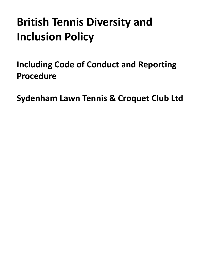# **British Tennis Diversity and Inclusion Policy**

<span id="page-0-0"></span>**Including Code of Conduct and Reporting Procedure**

**Sydenham Lawn Tennis & Croquet Club Ltd**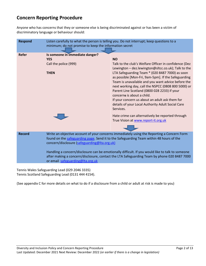# **Concern Reporting Procedure**

Anyone who has concerns that they or someone else is being discriminated against or has been a victim of discriminatory language or behaviour should:

| <b>Respond</b> | Listen carefully to what the person is telling you. Do not interrupt; keep questions to a<br>minimum; do not promise to keep the information secret                                                                                   |                                                                                                                                                                                                                                                                                                                                                                                                                                                                              |
|----------------|---------------------------------------------------------------------------------------------------------------------------------------------------------------------------------------------------------------------------------------|------------------------------------------------------------------------------------------------------------------------------------------------------------------------------------------------------------------------------------------------------------------------------------------------------------------------------------------------------------------------------------------------------------------------------------------------------------------------------|
| <b>Refer</b>   | Is someone in immediate danger?<br><b>YES</b>                                                                                                                                                                                         | <b>NO</b>                                                                                                                                                                                                                                                                                                                                                                                                                                                                    |
|                | Call the police (999)                                                                                                                                                                                                                 | Talk to the club's Welfare Officer in confidence (Dez                                                                                                                                                                                                                                                                                                                                                                                                                        |
|                | <b>THEN</b>                                                                                                                                                                                                                           | Lewington - dez.lewington@sltcc.co.uk); Talk to the<br>LTA Safeguarding Team * (020 8487 7000) as soon<br>as possible [Mon-Fri, 9am-5pm]. If the Safeguarding<br>Team is unavailable and you want advice before the<br>next working day, call the NSPCC (0808 800 5000) or<br>Parent Line Scotland (0800 028 2233) if your<br>concerns is about a child.<br>If your concern us about an adult ask them for<br>details of your Local Authority Adult Social Care<br>Services. |
|                |                                                                                                                                                                                                                                       | Hate crime can alternatively be reported through<br>True Vision at www.report-it.org.uk                                                                                                                                                                                                                                                                                                                                                                                      |
|                |                                                                                                                                                                                                                                       |                                                                                                                                                                                                                                                                                                                                                                                                                                                                              |
| <b>Record</b>  | Write an objective account of your concerns immediately using the Reporting a Concern Form<br>found on the safeguarding page. Send it to the Safeguarding Team within 48 hours of the<br>concern/disclosure (safeguarding@lta.org.uk) |                                                                                                                                                                                                                                                                                                                                                                                                                                                                              |
|                | Handling a concern/disclosure can be emotionally difficult. If you would like to talk to someone<br>after making a concern/disclosure, contact the LTA Safeguarding Team by phone 020 8487 7000<br>or email safeguarding@Ita.org.uk   |                                                                                                                                                                                                                                                                                                                                                                                                                                                                              |

Tennis Wales Safeguarding Lead (029 2046 3335) Tennis Scotland Safeguarding Lead (0131 444 4154).

(See appendix C for more details on what to do if a disclosure from a child or adult at risk is made to you)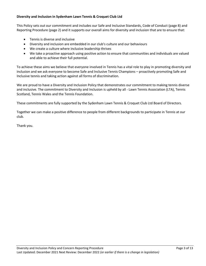# **Diversity and Inclusion in Sydenham Lawn Tennis & Croquet Club Ltd**

This Policy sets out our commitment and includes our Safe and Inclusive Standards, Code of Conduct (page 8) and Reporting Procedure (page 2) and it supports our overall aims for diversity and inclusion that are to ensure that:

- Tennis is diverse and inclusive
- Diversity and inclusion are embedded in our club's culture and our behaviours
- We create a culture where inclusive leadership thrives
- We take a proactive approach using positive action to ensure that communities and individuals are valued and able to achieve their full potential.

To achieve these aims we believe that everyone involved in Tennis has a vital role to play in promoting diversity and inclusion and we ask everyone to become Safe and Inclusive Tennis Champions – proactively promoting Safe and Inclusive tennis and taking action against all forms of discrimination.

We are proud to have a Diversity and Inclusion Policy that demonstrates our commitment to making tennis diverse and inclusive. The commitment to Diversity and Inclusion is upheld by all - Lawn Tennis Association (LTA), Tennis Scotland, Tennis Wales and the Tennis Foundation.

These commitments are fully supported by the Sydenham Lawn Tennis & Croquet Club Ltd Board of Directors.

Together we can make a positive difference to people from different backgrounds to participate in Tennis at our club.

Thank you.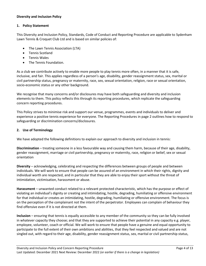## **Diversity and Inclusion Policy**

## **1. Policy Statement**

This Diversity and Inclusion Policy, Standards, Code of Conduct and Reporting Procedure are applicable to Sydenham Lawn Tennis & Croquet Club Ltd and is based on similar policies of:

- The Lawn Tennis Association (LTA)
- Tennis Scotland
- Tennis Wales
- The Tennis Foundation.

As a club we contribute actively to enable more people to play tennis more often, in a manner that it is safe, inclusive, and fair. This applies regardless of a person's age, disability, gender reassignment status, sex, marital or civil partnership status, pregnancy or maternity, race, sex, sexual orientation, religion, race or sexual orientation, socio-economic status or any other background.

We recognise that many concerns and/or disclosures may have both safeguarding and diversity and inclusion elements to them. This policy reflects this through its reporting procedures, which replicate the safeguarding concern reporting procedures.

This Policy strives to minimise risk and support our venue, programmes, events and individuals to deliver and experience a positive tennis experience for everyone. The Reporting Procedures in page 2 outlines how to respond to safeguarding or discrimination concerns/disclosures.

# **2. Use of Terminology**

We have adopted the following definitions to explain our approach to diversity and inclusion in tennis:

**Discrimination** – treating someone in a less favourable way and causing them harm, because of their age, disability, gender reassignment, marriage or civil partnership, pregnancy or maternity, race, religion or belief, sex or sexual orientation

**Diversity** – acknowledging, celebrating and respecting the differences between groups of people and between individuals. We will work to ensure that people can be assured of an environment in which their rights, dignity and individual worth are respected, and in particular that they are able to enjoy their sport without the threat of intimidation, victimisation, harassment or abuse.

**Harassment** – unwanted conduct related to a relevant protected characteristic, which has the purpose or effect of violating an individual's dignity or creating and intimidating, hostile, degrading, humiliating or offensive environment for that individual or creates an intimidating, hostile, degrading, humiliating or offensive environment. The focus is on the perception of the complainant not the intent of the perpetrator. Employees can complain of behaviour they find offensive even if it is not directed at them.

**Inclusion** – ensuring that tennis is equally accessible to any member of the community so they can be fully involved in whatever capacity they choose; and that they are supported to achieve their potential in any capacity e.g. player, employee, volunteer, coach or official. We will work to ensure that people have a genuine and equal opportunity to participate to the full extent of their own ambitions and abilities, that they feel respected and valued and are not singled out, with regard to their age, disability, gender reassignment status, sex, marital or civil partnership status,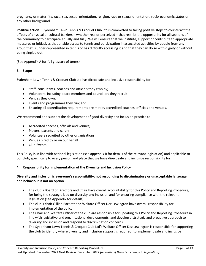pregnancy or maternity, race, sex, sexual orientation, religion, race or sexual orientation, socio-economic status or any other background.

**Positive action** – Sydenham Lawn Tennis & Croquet Club Ltd is committed to taking positive steps to counteract the effects of physical or cultural barriers – whether real or perceived – that restrict the opportunity for all sections of the community to participate equally and fully. We will ensure that we institute, support or contribute to appropriate measures or initiatives that enable access to tennis and participation in associated activities by people from any group that is under-represented in tennis or has difficulty accessing it and that they can do so with dignity or without being singled out.

(See Appendix A for full glossary of terms)

#### **3. Scope**

Sydenham Lawn Tennis & Croquet Club Ltd has direct safe and inclusive responsibility for:

- Staff, consultants, coaches and officials they employ;
- Volunteers, including board members and councillors they recruit;
- Venues they own;
- Events and programmes they run; and
- Ensuring all accreditation requirements are met by accredited coaches, officials and venues.

We recommend and support the development of good diversity and inclusion practice to:

- Accredited coaches, officials and venues;
- Players, parents and carers;
- Volunteers recruited by other organisations;
- Venues hired by or on our behalf
- Club Events.

This Policy is in line with national legislation (see appendix B for details of the relevant legislation) and applicable to our club, specifically to every person and place that we have direct safe and inclusive responsibility for.

#### **4. Responsibility for implementation of the Diversity and Inclusion Policy**

# **Diversity and inclusion is everyone's responsibility: not responding to discriminatory or unacceptable language and behaviour is not an option.**

- The club's Board of Directors and Chair have overall accountability for this Policy and Reporting Procedure, for being the strategic lead on diversity and inclusion and for ensuring compliance with the relevant legislation (see Appendix for details).
- The club's chair Gillian Bartlett and Welfare Officer Dez Lewington have overall responsibility for implementation of the policy.
- The Chair and Welfare Officer of the club are responsible for updating this Policy and Reporting Procedure in line with legislative and organisational developments; and develop a strategic and proactive approach to diversity and inclusion and respond to discrimination concerns.
- The Sydenham Lawn Tennis & Croquet Club Ltd's Welfare Officer Dez Lewington is responsible for supporting the club to identify where diversity and inclusion support is required; to implement safe and inclusive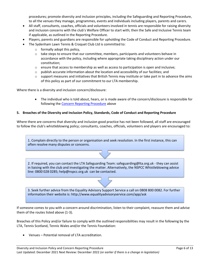procedures; promote diversity and inclusion principles, including the Safeguarding and Reporting Procedure, to all the venues they manage, programmes, events and individuals including players, parents and carers.

- All staff, consultants, coaches, officials and volunteers involved in tennis are responsible for raising diversity and inclusion concerns with the club's Welfare Officer to start with; then the Safe and Inclusive Tennis team if applicable, as outlined in the Reporting Procedure.
- Players, parents and guardians are responsible for upholding the Code of Conduct and Reporting Procedure.
- The Sydenham Lawn Tennis & Croquet Club Ltd is committed to:
	- $\circ$  formally adopt this policy,
	- $\circ$  take steps to ensure that our committee, members, participants and volunteers behave in accordance with the policy, including where appropriate taking disciplinary action under our constitution;
	- $\circ$  ensure that access to membership as well as access to participation is open and inclusive;
	- $\circ$  publish accurate information about the location and accessibility of our facilities; and
	- $\circ$  support measures and initiatives that British Tennis may institute or take part in to advance the aims of this policy as part of our commitment to our LTA membership.

Where there is a diversity and inclusion concern/disclosure:

• The individual who is told about, hears, or is made aware of the concern/disclosure is responsible for following the [Concern Reporting Procedure](#page-0-0) above

#### **5. Breaches of the Diversity and Inclusion Policy, Standards, Code of Conduct and Reporting Procedure**

Where there are concerns that diversity and inclusion good practice has not been followed, all staff are encouraged to follow the club's whistleblowing policy; consultants, coaches, officials, volunteers and players are encouraged to:

1. Complain directly to the person or organisation and seek resolution. In the first instance, this can often resolve many disputes or concerns.

2. If required, you can contact the LTA Safeguarding Team: safeguarding@lta.org.uk - they can assist in liaising with the club and investigating the matter. Alternatively, the NSPCC Whistleblowing advice line: 0800 028 0285; help@nspcc.org.uk can be contacted.

3. Seek further advice from the Equality Advisory Support Service a call on 0808 800 0082. For further information their website is: http://www.equalityadvisoryservice.com/app/ask

If someone comes to you with a concern around discrimination, listen to their complaint, reassure them and advise them of the routes listed above (1-3).

Breaches of this Policy and/or failure to comply with the outlined responsibilities may result in the following by the LTA, Tennis Scotland, Tennis Wales and/or the Tennis Foundation:

• Venues – Potential removal of LTA accreditation.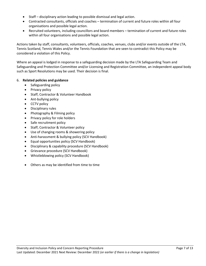- Staff disciplinary action leading to possible dismissal and legal action.
- Contracted consultants, officials and coaches termination of current and future roles within all four organisations and possible legal action.
- Recruited volunteers, including councillors and board members termination of current and future roles within all four organisations and possible legal action.

Actions taken by staff, consultants, volunteers, officials, coaches, venues, clubs and/or events outside of the LTA, Tennis Scotland, Tennis Wales and/or the Tennis Foundation that are seen to contradict this Policy may be considered a violation of this Policy.

Where an appeal is lodged in response to a safeguarding decision made by the LTA Safeguarding Team and Safeguarding and Protection Committee and/or Licensing and Registration Committee, an independent appeal body such as Sport Resolutions may be used. Their decision is final.

# 6. **Related policies and guidance**

- Safeguarding policy
- Privacy policy
- Staff, Contractor & Volunteer Handbook
- Ant-bullying policy
- CCTV policy
- Disciplinary rules
- Photography & Filming policy
- Privacy policy for role holders
- Safe recruitment policy
- Staff, Contractor & Volunteer policy
- Use of changing rooms & showering policy
- Anti-harassment & bullying policy (SCV Handbook)
- Equal opportunities policy (SCV Handbook)
- Disciplinary & capability procedure (SCV Handbook)
- Grievance procedure (SCV Handbook)
- Whistleblowing policy (SCV Handbook)
- Others as may be identified from time to time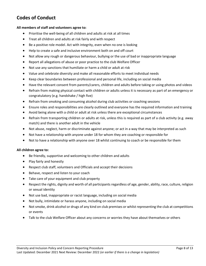# **Codes of Conduct**

#### **All members of staff and volunteers agree to:**

- Prioritise the well-being of all children and adults at risk at all times
- Treat all children and adults at risk fairly and with respect
- Be a positive role model. Act with integrity, even when no one is looking
- Help to create a safe and inclusive environment both on and off court
- Not allow any rough or dangerous behaviour, bullying or the use of bad or inappropriate language
- Report all allegations of abuse or poor practice to the club Welfare Officer
- Not use any sanctions that humiliate or harm a child or adult at risk
- Value and celebrate diversity and make all reasonable efforts to meet individual needs
- Keep clear boundaries between professional and personal life, including on social media
- Have the relevant consent from parents/carers, children and adults before taking or using photos and videos
- Refrain from making physical contact with children or adults unless it is necessary as part of an emergency or congratulatory (e.g. handshake / high five)
- Refrain from smoking and consuming alcohol during club activities or coaching sessions
- Ensure roles and responsibilities are clearly outlined and everyone has the required information and training
- Avoid being alone with a child or adult at risk unless there are exceptional circumstances
- Refrain from transporting children or adults at risk, unless this is required as part of a club activity (e.g. away match) and there is another adult in the vehicle
- Not abuse, neglect, harm or discriminate against anyone; or act in a way that may be interpreted as such
- Not have a relationship with anyone under 18 for whom they are coaching or responsible for
- Not to have a relationship with anyone over 18 whilst continuing to coach or be responsible for them

#### **All children agree to:**

- Be friendly, supportive and welcoming to other children and adults
- Play fairly and honestly
- Respect club staff, volunteers and Officials and accept their decisions
- Behave, respect and listen to your coach
- Take care of your equipment and club property
- Respect the rights, dignity and worth of all participants regardless of age, gender, ability, race, culture, religion or sexual identity
- Not use bad, inappropriate or racist language, including on social media
- Not bully, intimidate or harass anyone, including on social media
- Not smoke, drink alcohol or drugs of any kind on club premises or whilst representing the club at competitions or events
- Talk to the club Welfare Officer about any concerns or worries they have about themselves or others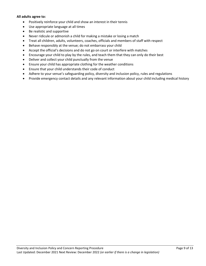#### **All adults agree to:**

- Positively reinforce your child and show an interest in their tennis
- Use appropriate language at all times
- Be realistic and supportive
- Never ridicule or admonish a child for making a mistake or losing a match
- Treat all children, adults, volunteers, coaches, officials and members of staff with respect
- Behave responsibly at the venue; do not embarrass your child
- Accept the official's decisions and do not go on court or interfere with matches
- Encourage your child to play by the rules, and teach them that they can only do their best
- Deliver and collect your child punctually from the venue
- Ensure your child has appropriate clothing for the weather conditions
- Ensure that your child understands their code of conduct
- Adhere to your venue's safeguarding policy, diversity and inclusion policy, rules and regulations
- Provide emergency contact details and any relevant information about your child including medical history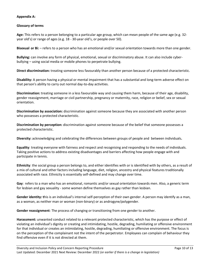# **Appendix A:**

# **Glossary of terms**

**Age:** This refers to a person belonging to a particular age group, which can mean people of the same age (e.g. 32 year old's) or range of ages (e.g. 18 - 30-year old's, or people over 50).

**Bisexual or Bi:** – refers to a person who has an emotional and/or sexual orientation towards more than one gender.

**Bullying:** can involve any form of physical, emotional, sexual or discriminatory abuse. It can also include cyberbullying – using social media or mobile phones to perpetrate bullying.

**Direct discrimination:** treating someone less favourably than another person because of a protected characteristic.

**Disability:** A person having a physical or mental impairment that has a substantial and long-term adverse effect on that person's ability to carry out normal day-to-day activities.

**Discrimination:** treating someone in a less favourable way and causing them harm, because of their age, disability, gender reassignment, marriage or civil partnership, pregnancy or maternity, race, religion or belief, sex or sexual orientation.

**Discrimination by association:** discrimination against someone because they are associated with another person who possesses a protected characteristic.

**Discrimination by perception:** discrimination against someone because of the belief that someone possesses a protected characteristic.

**Diversity:** acknowledging and celebrating the differences between groups of people and between individuals**.**

**Equality**: treating everyone with fairness and respect and recognising and responding to the needs of individuals. Taking positive actions to address existing disadvantages and barriers affecting how people engage with and participate in tennis.

**Ethnicity**: the social group a person belongs to, and either identifies with or is identified with by others, as a result of a mix of cultural and other factors including language, diet, religion, ancestry and physical features traditionally associated with race. Ethnicity is essentially self-defined and may change over time.

**Gay**: refers to a man who has an emotional, romantic and/or sexual orientation towards men. Also, a generic term for lesbian and gay sexuality - some women define themselves as gay rather than lesbian.

**Gender identity: t**his is an individual's internal self-perception of their own gender. A person may identify as a man, as a woman, as neither man or woman (non-binary) or as androgyne/polygender.

**Gender reassignment**: The process of changing or transitioning from one gender to another.

**Harassment:** unwanted conduct related to a relevant protected characteristic, which has the purpose or effect of violating an individual's dignity or creating and intimidating, hostile, degrading, humiliating or offensive environment for that individual or creates an intimidating, hostile, degrading, humiliating or offensive environment. The focus is on the perception of the complainant not the intent of the perpetrator. Employees can complain of behaviour they find offensive even if it is not directed at them.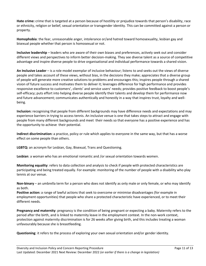**Hate crime:** crime that is targeted at a person because of hostility or prejudice towards that person's disability, race or ethnicity, religion or belief, sexual orientation or transgender identity. This can be committed against a person or property.

**Homophobia**: the fear, unreasonable anger, intolerance or/and hatred toward homosexuality, lesbian gay and bisexual people whether that person is homosexual or not.

**Inclusive leadership** – leaders who are aware of their own biases and preferences, actively seek out and consider different views and perspectives to inform better decision-making. They see diverse talent as a source of competitive advantage and inspire diverse people to drive organisational and individual performance towards a shared vision.

**An Inclusive Leader** – is a role model exemplar of inclusive behaviour; listens to and seeks out the views of diverse people and takes account of these views, without bias, in the decisions they make; appreciates that a diverse group of people will generate more creative solutions to problems and encourages this; inspires people through a shared vision of future success and motivates them to deliver it; leverages difference for high performance and provides responsive excellence to customers', clients' and service users' needs; provides positive feedback to boost people's self-efficacy; puts effort into helping diverse people identify their talents and develop them for performance now and future advancement; communicates authentically and honestly in a way that inspires trust, loyalty and wellbeing.

**Inclusion:** recognising that people from different backgrounds may have difference needs and expectations and may experience barriers in trying to access tennis. An inclusive venue is one that takes steps to attract and engage with people from many different backgrounds and meet their needs so that everyone has a positive experience and has the opportunity to achieve their potential.

**Indirect discrimination:** a practice, policy or rule which applies to everyone in the same way, but that has a worse effect on some people than others.

**LGBTQ:** an acronym for Lesbian, Gay, Bisexual, Trans and Questioning.

**Lesbian**: a woman who has an emotional romantic and /or sexual orientation towards women.

**Monitoring equality**: refers to data collection and analysis to check if people with protected characteristics are participating and being treated equally. For example: monitoring of the number of people with a disability who play tennis at our venue.

**Non-binary** – an umbrella term for a person who does not identify as only male or only female, or who may identify as both.

**Positive action:** a range of lawful actions that seek to overcome or minimise disadvantages (for example in employment opportunities) that people who share a protected characteristic have experienced, or to meet their different needs.

**Pregnancy and maternity**: pregnancy is the condition of being pregnant or expecting a baby. Maternity refers to the period after the birth, and is linked to maternity leave in the employment context. In the non-work context, protection against maternity discrimination is for 26 weeks after giving birth, and this includes treating a woman unfavourably because she is breastfeeding.

**Questioning**: it refers to the process of exploring your own sexual orientation and/or gender identity.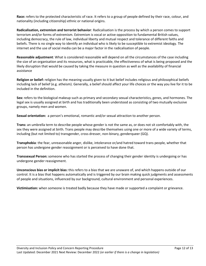**Race:** refers to the protected characteristic of race. It refers to a group of people defined by their race, colour, and nationality (including citizenship) ethnic or national origins.

**Radicalisation, extremism and terrorist behavior**: Radicalisation is the process by which a person comes to support terrorism and/or forms of extremism. Extremism is vocal or active opposition to fundamental British values, including democracy, the rule of law, individual liberty and mutual respect and tolerance of different faiths and beliefs. There is no single way to identify an individual who is likely to be susceptible to extremist ideology. The internet and the use of social media can be a major factor in the radicalisation of people.

**Reasonable adjustment**: What is considered reasonable will depend on all the circumstances of the case including the size of an organisation and its resources, what is practicable, the effectiveness of what is being proposed and the likely disruption that would be caused by taking the measure in question as well as the availability of financial assistance

**Religion or belief:** religion has the meaning usually given to it but belief includes religious and philosophical beliefs including lack of belief (e.g. atheism). Generally, a belief should affect your life choices or the way you live for it to be included in the definition.

**Sex:** refers to the biological makeup such as primary and secondary sexual characteristics, genes, and hormones. The legal sex is usually assigned at birth and has traditionally been understood as consisting of two mutually exclusive groups, namely men and women.

**Sexual orientation:** a person's emotional, romantic and/or sexual attraction to another person.

**Trans:** an umbrella term to describe people whose gender is not the same as, or does not sit comfortably with, the sex they were assigned at birth. Trans people may describe themselves using one or more of a wide variety of terms, including (but not limited to) transgender, cross dresser, non-binary, genderqueer (GQ).

**Transphobia**: the fear, unreasonable anger, dislike, intolerance or/and hatred toward trans people, whether that person has undergone gender reassignment or is perceived to have done that.

**Transsexual Person:** someone who has started the process of changing their gender identity is undergoing or has undergone gender reassignment.

**Unconscious bias or implicit bias:** this refers to a bias that we are unaware of, and which happens outside of our control. It is a bias that happens automatically and is triggered by our brain making quick judgments and assessments of people and situations, influenced by our background, cultural environment and personal experiences.

**Victimisation:** when someone is treated badly because they have made or supported a complaint or grievance.